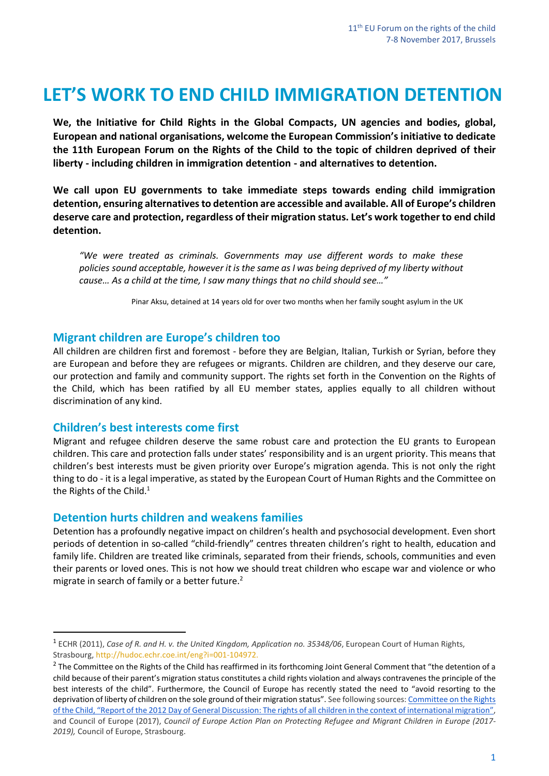# **LET'S WORK TO END CHILD IMMIGRATION DETENTION**

**We, the Initiative for Child Rights in the Global Compacts, UN agencies and bodies, global, European and national organisations, welcome the European Commission's initiative to dedicate the 11th European Forum on the Rights of the Child to the topic of children deprived of their liberty - including children in immigration detention - and alternatives to detention.** 

**We call upon EU governments to take immediate steps towards ending child immigration detention, ensuring alternatives to detention are accessible and available. All of Europe's children deserve care and protection, regardless of their migration status. Let's work together to end child detention.**

*"We were treated as criminals. Governments may use different words to make these policies sound acceptable, however it is the same as I was being deprived of my liberty without cause… As a child at the time, I saw many things that no child should see…"*

Pinar Aksu, detained at 14 years old for over two months when her family sought asylum in the UK

#### **Migrant children are Europe's children too**

All children are children first and foremost - before they are Belgian, Italian, Turkish or Syrian, before they are European and before they are refugees or migrants. Children are children, and they deserve our care, our protection and family and community support. The rights set forth in the Convention on the Rights of the Child, which has been ratified by all EU member states, applies equally to all children without discrimination of any kind.

#### **Children's best interests come first**

 $\overline{a}$ 

Migrant and refugee children deserve the same robust care and protection the EU grants to European children. This care and protection falls under states' responsibility and is an urgent priority. This means that children's best interests must be given priority over Europe's migration agenda. This is not only the right thing to do - it is a legal imperative, as stated by the European Court of Human Rights and the Committee on the Rights of the Child. $1$ 

#### **Detention hurts children and weakens families**

Detention has a profoundly negative impact on children's health and psychosocial development. Even short periods of detention in so-called "child-friendly" centres threaten children's right to health, education and family life. Children are treated like criminals, separated from their friends, schools, communities and even their parents or loved ones. This is not how we should treat children who escape war and violence or who migrate in search of family or a better future. $2$ 

<sup>1</sup> ECHR (2011), *Case of R. and H. v. the United Kingdom, Application no. 35348/06*, European Court of Human Rights, Strasbourg, [http://hudoc.echr.coe.int/eng?i=001-104972.](http://hudoc.echr.coe.int/eng?i=001-104972)

 $^2$  The Committee on the Rights of the Child has reaffirmed in its forthcoming Joint General Comment that "the detention of a child because of their parent's migration status constitutes a child rights violation and always contravenes the principle of the best interests of the child". Furthermore, the Council of Europe has recently stated the need to "avoid resorting to the deprivation of liberty of children on the sole ground of their migration status". See following sources: Committee on the Rights [of the Child, "Report of the 2012 Day of General Discussion: The rights of all children in the context of international migration"](http://www2.ohchr.org/english/bodies/crc/docs/discussion2012/2012CRC_DGD-Childrens_Rights_InternationalMigration.pdf), and Council of Europe (2017), *Council of Europe Action Plan on Protecting Refugee and Migrant Children in Europe (2017- 2019),* Council of Europe, Strasbourg.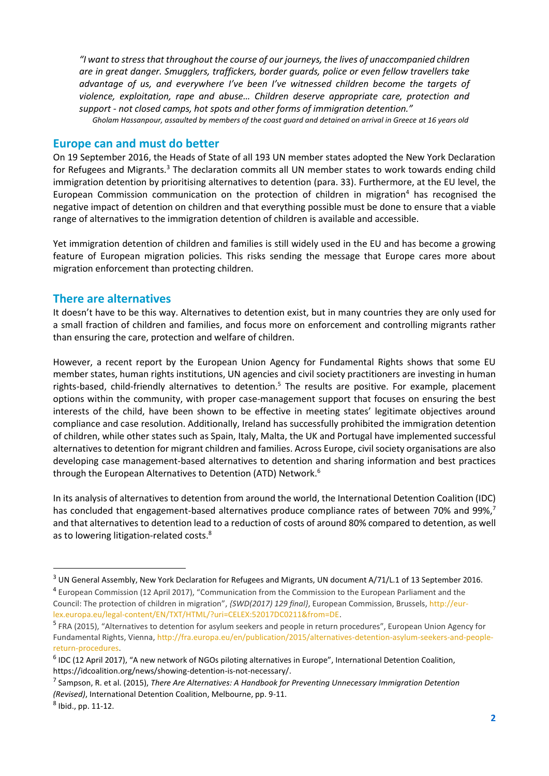*"I want to stress that throughout the course of our journeys, the lives of unaccompanied children are in great danger. Smugglers, traffickers, border guards, police or even fellow travellers take advantage of us, and everywhere I've been I've witnessed children become the targets of violence, exploitation, rape and abuse… Children deserve appropriate care, protection and support - not closed camps, hot spots and other forms of immigration detention." Gholam Hassanpour, assaulted by members of the coast guard and detained on arrival in Greece at 16 years old*

#### **Europe can and must do better**

On 19 September 2016, the Heads of State of all 193 UN member states adopted the New York Declaration for Refugees and Migrants.<sup>3</sup> The declaration commits all UN member states to work towards ending child immigration detention by prioritising alternatives to detention (para. 33). Furthermore, at the EU level, the European Commission communication on the protection of children in migration<sup>4</sup> has recognised the negative impact of detention on children and that everything possible must be done to ensure that a viable range of alternatives to the immigration detention of children is available and accessible.

Yet immigration detention of children and families is still widely used in the EU and has become a growing feature of European migration policies. This risks sending the message that Europe cares more about migration enforcement than protecting children.

### **There are alternatives**

It doesn't have to be this way. Alternatives to detention exist, but in many countries they are only used for a small fraction of children and families, and focus more on enforcement and controlling migrants rather than ensuring the care, protection and welfare of children.

However, a recent report by the European Union Agency for Fundamental Rights shows that some EU member states, human rights institutions, UN agencies and civil society practitioners are investing in human rights-based, child-friendly alternatives to detention.<sup>5</sup> The results are positive. For example, placement options within the community, with proper case-management support that focuses on ensuring the best interests of the child, have been shown to be effective in meeting states' legitimate objectives around compliance and case resolution. Additionally, Ireland has successfully prohibited the immigration detention of children, while other states such as Spain, Italy, Malta, the UK and Portugal have implemented successful alternatives to detention for migrant children and families. Across Europe, civil society organisations are also developing case management-based alternatives to detention and sharing information and best practices through the European Alternatives to Detention (ATD) Network.<sup>6</sup>

In its analysis of alternatives to detention from around the world, the International Detention Coalition (IDC) has concluded that engagement-based alternatives produce compliance rates of between 70% and 99%,<sup>7</sup> and that alternatives to detention lead to a reduction of costs of around 80% compared to detention, as well as to lowering litigation-related costs.<sup>8</sup>

 $\overline{a}$ 

<sup>3</sup> UN General Assembly, New York Declaration for Refugees and Migrants, UN document A/71/L.1 of 13 September 2016.

<sup>&</sup>lt;sup>4</sup> European Commission (12 April 2017), "Communication from the Commission to the European Parliament and the Council: The protection of children in migration", *{SWD(2017) 129 final}*, European Commission, Brussels[, http://eur](http://eur-lex.europa.eu/legal-content/EN/TXT/HTML/?uri=CELEX:52017DC0211&from=DE)[lex.europa.eu/legal-content/EN/TXT/HTML/?uri=CELEX:52017DC0211&from=DE.](http://eur-lex.europa.eu/legal-content/EN/TXT/HTML/?uri=CELEX:52017DC0211&from=DE)

<sup>&</sup>lt;sup>5</sup> FRA (2015), "Alternatives to detention for asylum seekers and people in return procedures", European Union Agency for Fundamental Rights, Vienna[, http://fra.europa.eu/en/publication/2015/alternatives-detention-asylum-seekers-and-people](http://fra.europa.eu/en/publication/2015/alternatives-detention-asylum-seekers-and-people-return-procedures)[return-procedures.](http://fra.europa.eu/en/publication/2015/alternatives-detention-asylum-seekers-and-people-return-procedures)

<sup>&</sup>lt;sup>6</sup> IDC (12 April 2017), "A new network of NGOs piloting alternatives in Europe", International Detention Coalition, [https://idcoalition.org/news/showing-detention-is-not-necessary/.](https://idcoalition.org/news/showing-detention-is-not-necessary/)

<sup>7</sup> Sampson, R. et al. (2015), *There Are Alternatives: A Handbook for Preventing Unnecessary Immigration Detention (Revised)*, International Detention Coalition, Melbourne, pp. 9-11.

<sup>8</sup> Ibid., pp. 11-12.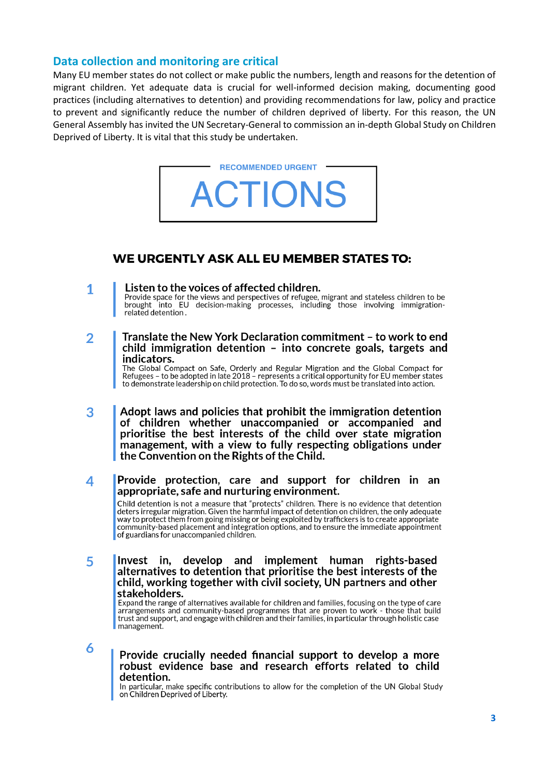#### Data collection and monitoring are critical

Many EU member states do not collect or make public the numbers, length and reasons for the detention of migrant children. Yet adequate data is crucial for well-informed decision making, documenting good practices (including alternatives to detention) and providing recommendations for law, policy and practice to prevent and significantly reduce the number of children deprived of liberty. For this reason, the UN General Assembly has invited the UN Secretary-General to commission an in-depth Global Study on Children Deprived of Liberty. It is vital that this study be undertaken.



## **WE URGENTLY ASK ALL EU MEMBER STATES TO:**

- Listen to the voices of affected children. 1 Provide space for the views and perspectives of refugee, migrant and stateless children to be into EU decision-making processes, including those involving immigrationbrought related detention.
- Translate the New York Declaration commitment to work to end  $\overline{2}$ child immigration detention - into concrete goals, targets and indicators.

The Global Compact on Safe, Orderly and Regular Migration and the Global Compact for<br>Refugees – to be adopted in late 2018 – represents a critical opportunity for EU member states to demonstrate leadership on child protection. To do so, words must be translated into action.

- Adopt laws and policies that prohibit the immigration detention 3 of children whether unaccompanied or accompanied and prioritise the best interests of the child over state migration management, with a view to fully respecting obligations under the Convention on the Rights of the Child.
- Provide protection, care and support for children in an 4 appropriate, safe and nurturing environment. Child detention is not a measure that "protects" children. There is no evidence that detention deters irregular migration. Given the harmful impact of detention on children, the only adequate way to protect them from going missing or being exploited by traffickers is to create appropriate community-based placement and integration options, and to ensure the immediate appointment of guardians for unaccompanied children.
- 5 develop and implement human rights-based Invest in. alternatives to detention that prioritise the best interests of the child, working together with civil society, UN partners and other stakeholders.

Expand the range of alternatives available for children and families, focusing on the type of care arrangements and community-based programmes that are proven to work - those that build<br>trust and support, and engage with children and their families, in particular through holistic case management.

6

#### Provide crucially needed financial support to develop a more robust evidence base and research efforts related to child detention.

In particular, make specific contributions to allow for the completion of the UN Global Study on Children Deprived of Liberty.